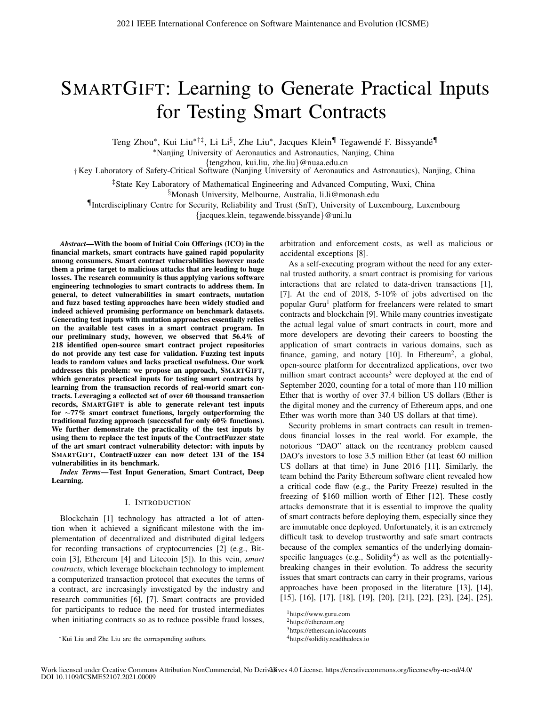# SMARTGIFT: Learning to Generate Practical Inputs for Testing Smart Contracts

Teng Zhou\*, Kui Liu<sup>∗†‡</sup>, Li Li<sup>§</sup>, Zhe Liu<sup>\*</sup>, Jacques Klein¶ Tegawendé F. Bissyandé¶

∗Nanjing University of Aeronautics and Astronautics, Nanjing, China

{tengzhou, kui.liu, zhe.liu}@nuaa.edu.cn

† Key Laboratory of Safety-Critical Software (Nanjing University of Aeronautics and Astronautics), Nanjing, China

‡State Key Laboratory of Mathematical Engineering and Advanced Computing, Wuxi, China

§Monash University, Melbourne, Australia, li.li@monash.edu

¶Interdisciplinary Centre for Security, Reliability and Trust (SnT), University of Luxembourg, Luxembourg

{jacques.klein, tegawende.bissyande}@uni.lu

*Abstract*—With the boom of Initial Coin Offerings (ICO) in the financial markets, smart contracts have gained rapid popularity among consumers. Smart contract vulnerabilities however made them a prime target to malicious attacks that are leading to huge losses. The research community is thus applying various software engineering technologies to smart contracts to address them. In general, to detect vulnerabilities in smart contracts, mutation and fuzz based testing approaches have been widely studied and indeed achieved promising performance on benchmark datasets. Generating test inputs with mutation approaches essentially relies on the available test cases in a smart contract program. In our preliminary study, however, we observed that 56.4% of 218 identified open-source smart contract project repositories do not provide any test case for validation. Fuzzing test inputs leads to random values and lacks practical usefulness. Our work addresses this problem: we propose an approach, SMARTGIFT, which generates practical inputs for testing smart contracts by learning from the transaction records of real-world smart contracts. Leveraging a collected set of over 60 thousand transaction records, SMARTGIFT is able to generate relevant test inputs for ∼77% smart contract functions, largely outperforming the traditional fuzzing approach (successful for only 60% functions). We further demonstrate the practicality of the test inputs by using them to replace the test inputs of the ContractFuzzer state of the art smart contract vulnerability detector: with inputs by SMARTGIFT, ContractFuzzer can now detect 131 of the 154 vulnerabilities in its benchmark.

*Index Terms*—Test Input Generation, Smart Contract, Deep Learning.

#### I. INTRODUCTION

Blockchain [1] technology has attracted a lot of attention when it achieved a significant milestone with the implementation of decentralized and distributed digital ledgers for recording transactions of cryptocurrencies [2] (e.g., Bitcoin [3], Ethereum [4] and Litecoin [5]). In this vein, *smart contracts*, which leverage blockchain technology to implement a computerized transaction protocol that executes the terms of a contract, are increasingly investigated by the industry and research communities [6], [7]. Smart contracts are provided for participants to reduce the need for trusted intermediates when initiating contracts so as to reduce possible fraud losses, arbitration and enforcement costs, as well as malicious or accidental exceptions [8].

As a self-executing program without the need for any external trusted authority, a smart contract is promising for various interactions that are related to data-driven transactions [1], [7]. At the end of 2018, 5-10% of jobs advertised on the popular Guru<sup>1</sup> platform for freelancers were related to smart contracts and blockchain [9]. While many countries investigate the actual legal value of smart contracts in court, more and more developers are devoting their careers to boosting the application of smart contracts in various domains, such as finance, gaming, and notary  $[10]$ . In Ethereum<sup>2</sup>, a global, open-source platform for decentralized applications, over two million smart contract accounts<sup>3</sup> were deployed at the end of September 2020, counting for a total of more than 110 million Ether that is worthy of over 37.4 billion US dollars (Ether is the digital money and the currency of Ethereum apps, and one Ether was worth more than 340 US dollars at that time).

Security problems in smart contracts can result in tremendous financial losses in the real world. For example, the notorious "DAO" attack on the reentrancy problem caused DAO's investors to lose 3.5 million Ether (at least 60 million US dollars at that time) in June 2016 [11]. Similarly, the team behind the Parity Ethereum software client revealed how a critical code flaw (e.g., the Parity Freeze) resulted in the freezing of \$160 million worth of Ether [12]. These costly attacks demonstrate that it is essential to improve the quality of smart contracts before deploying them, especially since they are immutable once deployed. Unfortunately, it is an extremely difficult task to develop trustworthy and safe smart contracts because of the complex semantics of the underlying domainspecific languages (e.g., Solidity<sup>4</sup>) as well as the potentiallybreaking changes in their evolution. To address the security issues that smart contracts can carry in their programs, various approaches have been proposed in the literature [13], [14], [15], [16], [17], [18], [19], [20], [21], [22], [23], [24], [25],

<sup>1</sup>https://www.guru.com

<sup>2</sup>https://ethereum.org

<sup>3</sup>https://etherscan.io/accounts

<sup>4</sup>https://solidity.readthedocs.io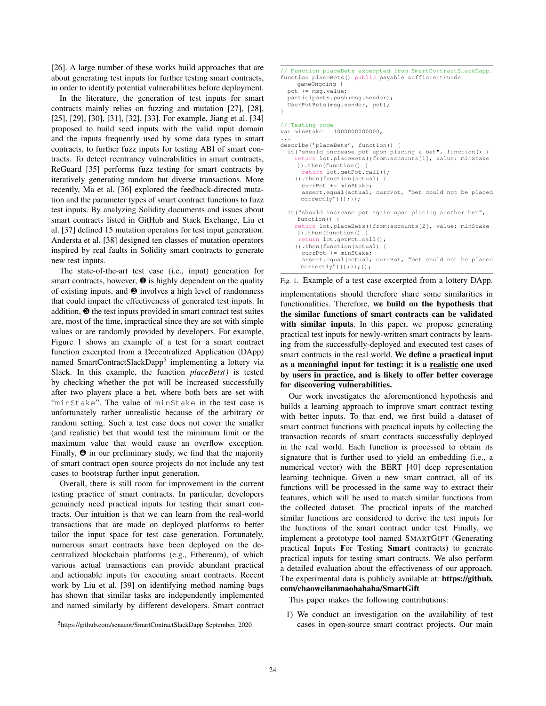[26]. A large number of these works build approaches that are about generating test inputs for further testing smart contracts, in order to identify potential vulnerabilities before deployment.

In the literature, the generation of test inputs for smart contracts mainly relies on fuzzing and mutation [27], [28], [25], [29], [30], [31], [32], [33]. For example, Jiang et al. [34] proposed to build seed inputs with the valid input domain and the inputs frequently used by some data types in smart contracts, to further fuzz inputs for testing ABI of smart contracts. To detect reentrancy vulnerabilities in smart contracts, ReGuard [35] performs fuzz testing for smart contracts by iteratively generating random but diverse transactions. More recently, Ma et al. [36] explored the feedback-directed mutation and the parameter types of smart contract functions to fuzz test inputs. By analyzing Solidity documents and issues about smart contracts listed in GitHub and Stack Exchange, Liu et al. [37] defined 15 mutation operators for test input generation. Andersta et al. [38] designed ten classes of mutation operators inspired by real faults in Solidity smart contracts to generate new test inputs.

The state-of-the-art test case (i.e., input) generation for smart contracts, however,  $\bullet$  is highly dependent on the quality of existing inputs, and ❷ involves a high level of randomness that could impact the effectiveness of generated test inputs. In addition, ❸ the test inputs provided in smart contract test suites are, most of the time, impractical since they are set with simple values or are randomly provided by developers. For example, Figure 1 shows an example of a test for a smart contract function excerpted from a Decentralized Application (DApp) named SmartContractSlackDapp<sup>5</sup> implementing a lottery via Slack. In this example, the function *placeBets()* is tested by checking whether the pot will be increased successfully after two players place a bet, where both bets are set with "minStake". The value of minStake in the test case is unfortunately rather unrealistic because of the arbitrary or random setting. Such a test case does not cover the smaller (and realistic) bet that would test the minimum limit or the maximum value that would cause an overflow exception. Finally,  $\Theta$  in our preliminary study, we find that the majority of smart contract open source projects do not include any test cases to bootstrap further input generation.

Overall, there is still room for improvement in the current testing practice of smart contracts. In particular, developers genuinely need practical inputs for testing their smart contracts. Our intuition is that we can learn from the real-world transactions that are made on deployed platforms to better tailor the input space for test case generation. Fortunately, numerous smart contracts have been deployed on the decentralized blockchain platforms (e.g., Ethereum), of which various actual transactions can provide abundant practical and actionable inputs for executing smart contracts. Recent work by Liu et al. [39] on identifying method naming bugs has shown that similar tasks are independently implemented and named similarly by different developers. Smart contract

```
// Function placeBets excerpted from SmartContractSlackDapp.
function placeBets() public payable sufficientFunds
    gameOngoing {
  pot += msg.value;
  participants.push(msg.sender);
 UserPutBets(msg.sender, pot);
}
// Testing code
var minStake = 1000000000000;
...
describe('placeBets', function() {
  it("should increase pot upon placing a bet", function() {
    return lot.placeBets({from:accounts[1], value: minStake
    }).then(function() {
      return lot.getPot.call();
    }).then(function(actual) {
      currPot += minStake;
      assert.equal(actual, currPot, "bet could not be placed
     correctly")});});
  it("should increase pot again upon placing another bet",
    function()return lot.placeBets({from:accounts[2], value: minStake
    }).then(function() {
     return lot.getPot.call();
    }).then(function(actual) {
      currPot += minStake;
      assert.equal(actual, currPot, "bet could not be placed
     correctly") }); }); });
```
Fig. 1. Example of a test case excerpted from a lottery DApp.

implementations should therefore share some similarities in functionalities. Therefore, we build on the hypothesis that the similar functions of smart contracts can be validated with similar inputs. In this paper, we propose generating practical test inputs for newly-written smart contracts by learning from the successfully-deployed and executed test cases of smart contracts in the real world. We define a practical input as a meaningful input for testing: it is a realistic one used by users in practice, and is likely to offer better coverage for discovering vulnerabilities.

Our work investigates the aforementioned hypothesis and builds a learning approach to improve smart contract testing with better inputs. To that end, we first build a dataset of smart contract functions with practical inputs by collecting the transaction records of smart contracts successfully deployed in the real world. Each function is processed to obtain its signature that is further used to yield an embedding (i.e., a numerical vector) with the BERT [40] deep representation learning technique. Given a new smart contract, all of its functions will be processed in the same way to extract their features, which will be used to match similar functions from the collected dataset. The practical inputs of the matched similar functions are considered to derive the test inputs for the functions of the smart contract under test. Finally, we implement a prototype tool named SMARTGIFT (Generating practical Inputs For Testing Smart contracts) to generate practical inputs for testing smart contracts. We also perform a detailed evaluation about the effectiveness of our approach. The experimental data is publicly available at: https://github. com/chaoweilanmaohahaha/SmartGift

#### This paper makes the following contributions:

1) We conduct an investigation on the availability of test cases in open-source smart contract projects. Our main

<sup>5</sup>https://github.com/senacor/SmartContractSlackDapp September, 2020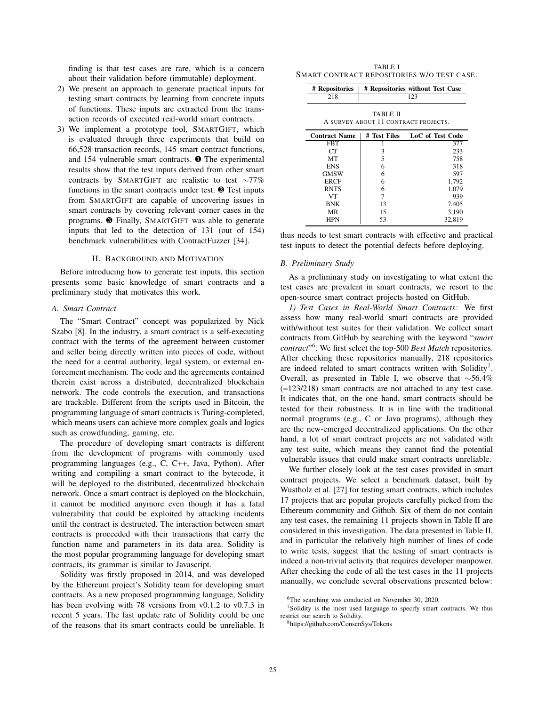finding is that test cases are rare, which is a concern about their validation before (immutable) deployment.

- 2) We present an approach to generate practical inputs for testing smart contracts by learning from concrete inputs of functions. These inputs are extracted from the transaction records of executed real-world smart contracts.
- 3) We implement a prototype tool, SMARTGIFT, which is evaluated through three experiments that build on 66,528 transaction records, 145 smart contract functions, and 154 vulnerable smart contracts. ❶ The experimental results show that the test inputs derived from other smart contracts by SMARTGIFT are realistic to test ∼77% functions in the smart contracts under test. ❷ Test inputs from SMARTGIFT are capable of uncovering issues in smart contracts by covering relevant corner cases in the programs. ❸ Finally, SMARTGIFT was able to generate inputs that led to the detection of 131 (out of 154) benchmark vulnerabilities with ContractFuzzer [34].

#### II. BACKGROUND AND MOTIVATION

Before introducing how to generate test inputs, this section presents some basic knowledge of smart contracts and a preliminary study that motivates this work.

#### *A. Smart Contract*

The "Smart Contract" concept was popularized by Nick Szabo [8]. In the industry, a smart contract is a self-executing contract with the terms of the agreement between customer and seller being directly written into pieces of code, without the need for a central authority, legal system, or external enforcement mechanism. The code and the agreements contained therein exist across a distributed, decentralized blockchain network. The code controls the execution, and transactions are trackable. Different from the scripts used in Bitcoin, the programming language of smart contracts is Turing-completed, which means users can achieve more complex goals and logics such as crowdfunding, gaming, etc.

The procedure of developing smart contracts is different from the development of programs with commonly used programming languages (e.g., C, C++, Java, Python). After writing and compiling a smart contract to the bytecode, it will be deployed to the distributed, decentralized blockchain network. Once a smart contract is deployed on the blockchain, it cannot be modified anymore even though it has a fatal vulnerability that could be exploited by attacking incidents until the contract is destructed. The interaction between smart contracts is proceeded with their transactions that carry the function name and parameters in its data area. Solidity is the most popular programming language for developing smart contracts, its grammar is similar to Javascript.

Solidity was firstly proposed in 2014, and was developed by the Ethereum project's Solidity team for developing smart contracts. As a new proposed programming language, Solidity has been evolving with 78 versions from v0.1.2 to v0.7.3 in recent 5 years. The fast update rate of Solidity could be one of the reasons that its smart contracts could be unreliable. It

TABLE I SMART CONTRACT REPOSITORIES W/O TEST CASE.

| # Repositories<br>218                            | # Repositories without Test Case<br>123 |                  |  |  |
|--------------------------------------------------|-----------------------------------------|------------------|--|--|
| TABLE II<br>A SURVEY ABOUT 11 CONTRACT PROJECTS. |                                         |                  |  |  |
| <b>Contract Name</b>                             | # Test Files                            | LoC of Test Code |  |  |
| <b>FBT</b>                                       |                                         | 377              |  |  |
| CТ                                               | 3                                       | 233              |  |  |
| MT                                               | 5                                       | 758              |  |  |
| <b>ENS</b>                                       | 6                                       | 318              |  |  |
| GMSW                                             | 6                                       | 597              |  |  |
| ERCF                                             | 6                                       | 1,792            |  |  |
| <b>RNTS</b>                                      | 6                                       | 1,079            |  |  |
| VT                                               | 7                                       | 939              |  |  |
| <b>BNK</b>                                       | 13                                      | 7,405            |  |  |
| <b>MR</b>                                        | 15                                      | 3,190            |  |  |
| HPN                                              | 53                                      | 32,819           |  |  |

thus needs to test smart contracts with effective and practical test inputs to detect the potential defects before deploying.

#### *B. Preliminary Study*

As a preliminary study on investigating to what extent the test cases are prevalent in smart contracts, we resort to the open-source smart contract projects hosted on GitHub.

*1) Test Cases in Real-World Smart Contracts:* We first assess how many real-world smart contracts are provided with/without test suites for their validation. We collect smart contracts from GitHub by searching with the keyword "*smart contract*"6. We first select the top-500 *Best Match* repositories. After checking these repositories manually, 218 repositories are indeed related to smart contracts written with Solidity<sup>7</sup>. Overall, as presented in Table I, we observe that ∼56.4% (=123/218) smart contracts are not attached to any test case. It indicates that, on the one hand, smart contracts should be tested for their robustness. It is in line with the traditional normal programs (e.g., C or Java programs), although they are the new-emerged decentralized applications. On the other hand, a lot of smart contract projects are not validated with any test suite, which means they cannot find the potential vulnerable issues that could make smart contracts unreliable.

We further closely look at the test cases provided in smart contract projects. We select a benchmark dataset, built by Wustholz et al. [27] for testing smart contracts, which includes 17 projects that are popular projects carefully picked from the Ethereum community and Github. Six of them do not contain any test cases, the remaining 11 projects shown in Table II are considered in this investigation. The data presented in Table II, and in particular the relatively high number of lines of code to write tests, suggest that the testing of smart contracts is indeed a non-trivial activity that requires developer manpower. After checking the code of all the test cases in the 11 projects manually, we conclude several observations presented below:

<sup>&</sup>lt;sup>6</sup>The searching was conducted on November 30, 2020.

<sup>&</sup>lt;sup>7</sup>Solidity is the most used language to specify smart contracts. We thus restrict our search to Solidity.

<sup>8</sup>https://github.com/ConsenSys/Tokens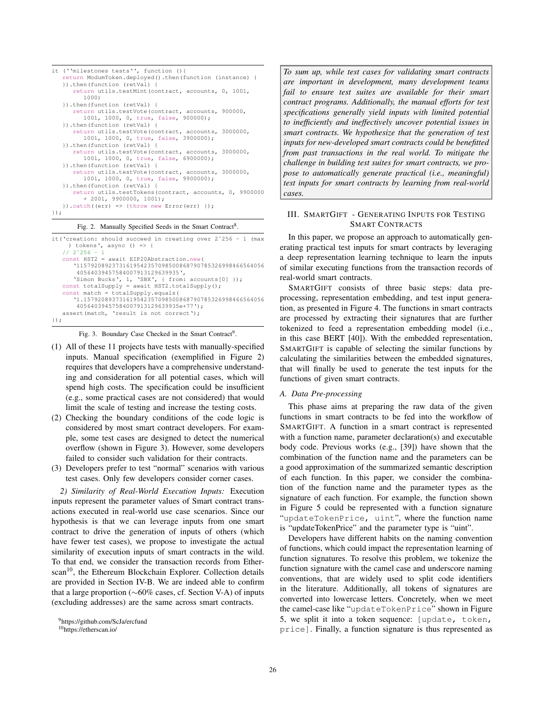```
it (''milestones tests'', function (){
   return ModumToken.deployed().then(function (instance) {
   }).then(function (retVal) {
      return utils.testMint(contract, accounts, 0, 1001,
        1000)
   }).then(function (retVal) {
      return utils.testVote(contract, accounts, 900000,
         1001, 1000, 0, true, false, 900000);
   }).then(function (retVal) {
      return utils.testVote(contract, accounts, 3000000,
         1001, 1000, 0, true, false, 3900000);
   }).then(function (retVal) {
      return utils.testVote(contract, accounts, 3000000,
        1001, 1000, 0, true, false, 6900000);
   }).then(function (retVal) {
      return utils.testVote(contract, accounts, 3000000,
         1001, 1000, 0, true, false, 9900000);
   }).then(function (retVal) {
      return utils.testTokens(contract, accounts, 0, 9900000
         + 2001, 9900000, 1001);
   }).catch((err) => {throw new Error(err) });
});
```
#### Fig. 2. Manually Specified Seeds in the Smart Contract<sup>8</sup>.

```
it('creation: should succeed in creating over 2ˆ256 - 1 (max
     ) tokens', async () => {
   1/2<sup>2</sup>256 - 1
   const HST2 = await EIP20Abstraction.new(
      '11579208923731619542357098500868790785326998466564056
       40564039457584007913129639935',
      'Simon Bucks', 1, 'SBX', { from: accounts[0] });
   const totalSupply = await HST2.totalSupply();
   const match = totalSupply.equals(
       '1.157920893731619542357098500868790785326998466564056
       40564039457584007913129639935e+77');
   assert(match, 'result is not correct');
});
```
Fig. 3. Boundary Case Checked in the Smart Contract<sup>9</sup>.

- (1) All of these 11 projects have tests with manually-specified inputs. Manual specification (exemplified in Figure 2) requires that developers have a comprehensive understanding and consideration for all potential cases, which will spend high costs. The specification could be insufficient (e.g., some practical cases are not considered) that would limit the scale of testing and increase the testing costs.
- (2) Checking the boundary conditions of the code logic is considered by most smart contract developers. For example, some test cases are designed to detect the numerical overflow (shown in Figure 3). However, some developers failed to consider such validation for their contracts.
- (3) Developers prefer to test "normal" scenarios with various test cases. Only few developers consider corner cases.

*2) Similarity of Real-World Execution Inputs:* Execution inputs represent the parameter values of Smart contract transactions executed in real-world use case scenarios. Since our hypothesis is that we can leverage inputs from one smart contract to drive the generation of inputs of others (which have fewer test cases), we propose to investigate the actual similarity of execution inputs of smart contracts in the wild. To that end, we consider the transaction records from Etherscan<sup>10</sup>, the Ethereum Blockchain Explorer. Collection details are provided in Section IV-B. We are indeed able to confirm that a large proportion (∼60% cases, cf. Section V-A) of inputs (excluding addresses) are the same across smart contracts.

*To sum up, while test cases for validating smart contracts are important in development, many development teams fail to ensure test suites are available for their smart contract programs. Additionally, the manual efforts for test specifications generally yield inputs with limited potential to inefficiently and ineffectively uncover potential issues in smart contracts. We hypothesize that the generation of test inputs for new-developed smart contracts could be benefitted from past transactions in the real world. To mitigate the challenge in building test suites for smart contracts, we propose to automatically generate practical (i.e., meaningful) test inputs for smart contracts by learning from real-world cases.*

### III. SMARTGIFT - GENERATING INPUTS FOR TESTING SMART CONTRACTS

In this paper, we propose an approach to automatically generating practical test inputs for smart contracts by leveraging a deep representation learning technique to learn the inputs of similar executing functions from the transaction records of real-world smart contracts.

SMARTGIFT consists of three basic steps: data preprocessing, representation embedding, and test input generation, as presented in Figure 4. The functions in smart contracts are processed by extracting their signatures that are further tokenized to feed a representation embedding model (i.e., in this case BERT [40]). With the embedded representation, SMARTGIFT is capable of selecting the similar functions by calculating the similarities between the embedded signatures, that will finally be used to generate the test inputs for the functions of given smart contracts.

#### *A. Data Pre-processing*

This phase aims at preparing the raw data of the given functions in smart contracts to be fed into the workflow of SMARTGIFT. A function in a smart contract is represented with a function name, parameter declaration(s) and executable body code. Previous works (e.g., [39]) have shown that the combination of the function name and the parameters can be a good approximation of the summarized semantic description of each function. In this paper, we consider the combination of the function name and the parameter types as the signature of each function. For example, the function shown in Figure 5 could be represented with a function signature "updateTokenPrice, uint", where the function name is "updateTokenPrice" and the parameter type is "uint".

Developers have different habits on the naming convention of functions, which could impact the representation learning of function signatures. To resolve this problem, we tokenize the function signature with the camel case and underscore naming conventions, that are widely used to split code identifiers in the literature. Additionally, all tokens of signatures are converted into lowercase letters. Concretely, when we meet the camel-case like "updateTokenPrice" shown in Figure 5, we split it into a token sequence: [update, token, price]. Finally, a function signature is thus represented as

<sup>&</sup>lt;sup>9</sup>https://github.com/ScJa/ercfund

<sup>10</sup>https://etherscan.io/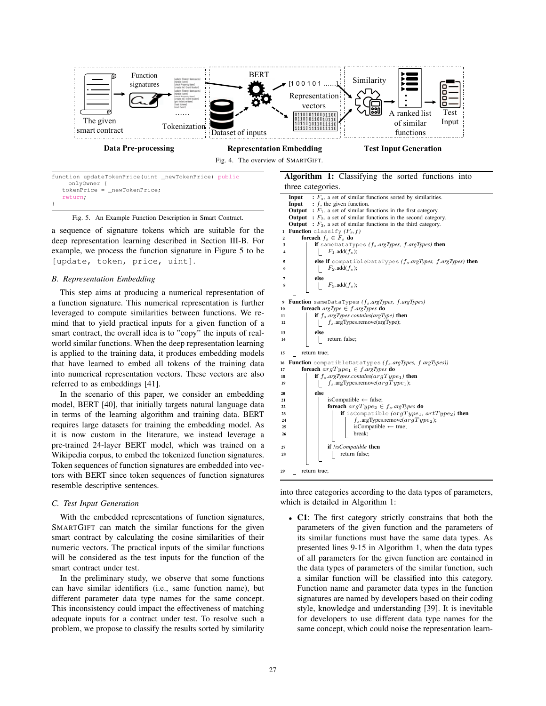

| function updateTokenPrice(uint newTokenPrice) public |  |
|------------------------------------------------------|--|
| onlyOwner {                                          |  |
| $tokenPrice = newTokenPrice;$                        |  |
| return;                                              |  |
|                                                      |  |

Fig. 5. An Example Function Description in Smart Contract.

a sequence of signature tokens which are suitable for the deep representation learning described in Section III-B. For example, we process the function signature in Figure 5 to be [update, token, price, uint].

#### *B. Representation Embedding*

This step aims at producing a numerical representation of a function signature. This numerical representation is further leveraged to compute similarities between functions. We remind that to yield practical inputs for a given function of a smart contract, the overall idea is to "copy" the inputs of realworld similar functions. When the deep representation learning is applied to the training data, it produces embedding models that have learned to embed all tokens of the training data into numerical representation vectors. These vectors are also referred to as embeddings [41].

In the scenario of this paper, we consider an embedding model, BERT [40], that initially targets natural language data in terms of the learning algorithm and training data. BERT requires large datasets for training the embedding model. As it is now custom in the literature, we instead leverage a pre-trained 24-layer BERT model, which was trained on a Wikipedia corpus, to embed the tokenized function signatures. Token sequences of function signatures are embedded into vectors with BERT since token sequences of function signatures resemble descriptive sentences.

#### *C. Test Input Generation*

With the embedded representations of function signatures, SMARTGIFT can match the similar functions for the given smart contract by calculating the cosine similarities of their numeric vectors. The practical inputs of the similar functions will be considered as the test inputs for the function of the smart contract under test.

In the preliminary study, we observe that some functions can have similar identifiers (i.e., same function name), but different parameter data type names for the same concept. This inconsistency could impact the effectiveness of matching adequate inputs for a contract under test. To resolve such a problem, we propose to classify the results sorted by similarity

## Algorithm 1: Classifying the sorted functions into three categories.



into three categories according to the data types of parameters, which is detailed in Algorithm 1:

• C1: The first category strictly constrains that both the parameters of the given function and the parameters of its similar functions must have the same data types. As presented lines 9-15 in Algorithm 1, when the data types of all parameters for the given function are contained in the data types of parameters of the similar function, such a similar function will be classified into this category. Function name and parameter data types in the function signatures are named by developers based on their coding style, knowledge and understanding [39]. It is inevitable for developers to use different data type names for the same concept, which could noise the representation learn-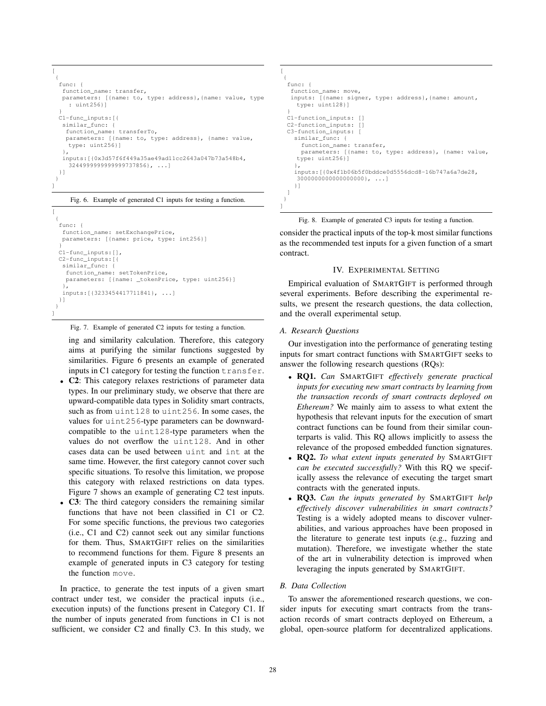```
[
 {
  func: {
  function_name: transfer,
  parameters: [{name: to, type: address},{name: value, type
    : uint256}]
  }
C1-func_inputs:[{
  similar func: {
    function name: transferTo,
    parameters: [{name: to, type: address}, {name: value,
    type: uint256}]
   },
  inputs:[{0x3d57f6f449a35ae49ad11cc2643a047b73a548b4,
    3244999999999999737856, ...]
 }]
 }
]
```

```
Fig. 6. Example of generated C1 inputs for testing a function.
```

```
\sqrt{ }{
  func: {
   function_name: setExchangePrice,
   parameters: [{name: price, type: int256}]
  }
C1-func_inputs:[],
  C2-func_inputs:[{
   similar func: {
    function_name: setTokenPrice,
    parameters: [{name: _tokenPrice, type: uint256}]
   },
   inputs:[{3233454417711841}, ...]
  }]
 }
]
```
Fig. 7. Example of generated C2 inputs for testing a function.

ing and similarity calculation. Therefore, this category aims at purifying the similar functions suggested by similarities. Figure 6 presents an example of generated inputs in C1 category for testing the function transfer.

- C2: This category relaxes restrictions of parameter data types. In our preliminary study, we observe that there are upward-compatible data types in Solidity smart contracts, such as from uint128 to uint256. In some cases, the values for uint256-type parameters can be downwardcompatible to the uint128-type parameters when the values do not overflow the uint128. And in other cases data can be used between uint and int at the same time. However, the first category cannot cover such specific situations. To resolve this limitation, we propose this category with relaxed restrictions on data types. Figure 7 shows an example of generating C2 test inputs.
- C3: The third category considers the remaining similar functions that have not been classified in C1 or C2. For some specific functions, the previous two categories (i.e., C1 and C2) cannot seek out any similar functions for them. Thus, SMARTGIFT relies on the similarities to recommend functions for them. Figure 8 presents an example of generated inputs in C3 category for testing the function move.

In practice, to generate the test inputs of a given smart contract under test, we consider the practical inputs (i.e., execution inputs) of the functions present in Category C1. If the number of inputs generated from functions in C1 is not sufficient, we consider C2 and finally C3. In this study, we

```
[
 {
  func: {
   function_name: move,
   inputs: [{name: signer, type: address}, {name: amount,
    type: uint128}]
  }
C1-function_inputs: []
 C2-function_inputs: []
  C3-function_inputs: [
   similar_func: {
      function_name: transfer,
      parameters: [{name: to, type: address}, {name: value,
     type: uint256}]
    },
    inputs:[{0x4f1b06b5f0bddce0d5556dcd8-16b747a6a7de28,
    3000000000000000000}, ...]
    }]
  ]
}
]
```


consider the practical inputs of the top-k most similar functions as the recommended test inputs for a given function of a smart contract.

#### IV. EXPERIMENTAL SETTING

Empirical evaluation of SMARTGIFT is performed through several experiments. Before describing the experimental results, we present the research questions, the data collection, and the overall experimental setup.

#### *A. Research Questions*

Our investigation into the performance of generating testing inputs for smart contract functions with SMARTGIFT seeks to answer the following research questions (RQs):

- RQ1. *Can* SMARTGIFT *effectively generate practical inputs for executing new smart contracts by learning from the transaction records of smart contracts deployed on Ethereum?* We mainly aim to assess to what extent the hypothesis that relevant inputs for the execution of smart contract functions can be found from their similar counterparts is valid. This RQ allows implicitly to assess the relevance of the proposed embedded function signatures.
- RQ2. *To what extent inputs generated by* SMARTGIFT *can be executed successfully?* With this RQ we specifically assess the relevance of executing the target smart contracts with the generated inputs.
- RQ3. *Can the inputs generated by* SMARTGIFT *help effectively discover vulnerabilities in smart contracts?* Testing is a widely adopted means to discover vulnerabilities, and various approaches have been proposed in the literature to generate test inputs (e.g., fuzzing and mutation). Therefore, we investigate whether the state of the art in vulnerability detection is improved when leveraging the inputs generated by SMARTGIFT.

#### *B. Data Collection*

To answer the aforementioned research questions, we consider inputs for executing smart contracts from the transaction records of smart contracts deployed on Ethereum, a global, open-source platform for decentralized applications.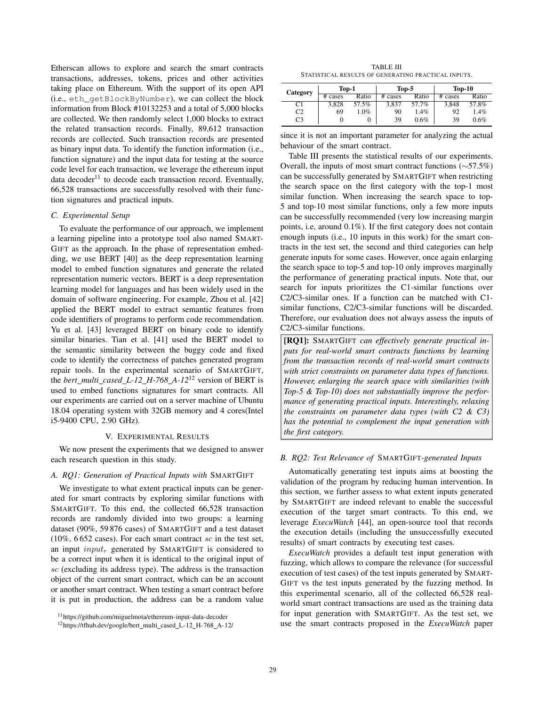Etherscan allows to explore and search the smart contracts transactions, addresses, tokens, prices and other activities taking place on Ethereum. With the support of its open API (i.e., eth\_getBlockByNumber), we can collect the block information from Block #10132253 and a total of 5,000 blocks are collected. We then randomly select 1,000 blocks to extract the related transaction records. Finally, 89,612 transaction records are collected. Such transaction records are presented as binary input data. To identify the function information (i.e., function signature) and the input data for testing at the source code level for each transaction, we leverage the ethereum input data decoder<sup>11</sup> to decode each transaction record. Eventually, 66,528 transactions are successfully resolved with their function signatures and practical inputs.

#### *C. Experimental Setup*

To evaluate the performance of our approach, we implement a learning pipeline into a prototype tool also named SMART-GIFT as the approach. In the phase of representation embedding, we use BERT [40] as the deep representation learning model to embed function signatures and generate the related representation numeric vectors. BERT is a deep representation learning model for languages and has been widely used in the domain of software engineering. For example, Zhou et al. [42] applied the BERT model to extract semantic features from code identifiers of programs to perform code recommendation. Yu et al. [43] leveraged BERT on binary code to identify similar binaries. Tian et al. [41] used the BERT model to the semantic similarity between the buggy code and fixed code to identify the correctness of patches generated program repair tools. In the experimental scenario of SMARTGIFT, the *bert multi cased L-12 H-768 A-12*<sup>12</sup> version of BERT is used to embed functions signatures for smart contracts. All our experiments are carried out on a server machine of Ubuntu 18.04 operating system with 32GB memory and 4 cores(Intel i5-9400 CPU, 2.90 GHz).

#### V. EXPERIMENTAL RESULTS

We now present the experiments that we designed to answer each research question in this study.

#### *A. RQ1: Generation of Practical Inputs with* SMARTGIFT

We investigate to what extent practical inputs can be generated for smart contracts by exploring similar functions with SMARTGIFT. To this end, the collected 66,528 transaction records are randomly divided into two groups: a learning dataset (90%, 59 876 cases) of SMARTGIFT and a test dataset (10%, 6652 cases). For each smart contract  $sc$  in the test set, an input  $input_r$  generated by SMARTGIFT is considered to be a correct input when it is identical to the original input of sc (excluding its address type). The address is the transaction object of the current smart contract, which can be an account or another smart contract. When testing a smart contract before it is put in production, the address can be a random value

TABLE III STATISTICAL RESULTS OF GENERATING PRACTICAL INPUTS.

| Category       | $Top-1$ |         | Top-5   |       | $Top-10$ |       |
|----------------|---------|---------|---------|-------|----------|-------|
|                | # cases | Ratio   | # cases | Ratio | # cases  | Ratio |
| C1             | 3.828   | 57.5%   | 3.837   | 57.7% | 3.848    | 57.8% |
| C2             | 69      | $1.0\%$ | 90      | 1.4%  | 92       | 1.4%  |
| C <sub>3</sub> |         |         | 39      | 0.6%  | 39       | 0.6%  |

since it is not an important parameter for analyzing the actual behaviour of the smart contract.

Table III presents the statistical results of our experiments. Overall, the inputs of most smart contract functions (∼57.5%) can be successfully generated by SMARTGIFT when restricting the search space on the first category with the top-1 most similar function. When increasing the search space to top-5 and top-10 most similar functions, only a few more inputs can be successfully recommended (very low increasing margin points, i.e, around 0.1%). If the first category does not contain enough inputs (i.e., 10 inputs in this work) for the smart contracts in the test set, the second and third categories can help generate inputs for some cases. However, once again enlarging the search space to top-5 and top-10 only improves marginally the performance of generating practical inputs. Note that, our search for inputs prioritizes the C1-similar functions over C2/C3-similar ones. If a function can be matched with C1 similar functions, C2/C3-similar functions will be discarded. Therefore, our evaluation does not always assess the inputs of C2/C3-similar functions.

[RQ1]: SMARTGIFT *can effectively generate practical inputs for real-world smart contracts functions by learning from the transaction records of real-world smart contracts with strict constraints on parameter data types of functions. However, enlarging the search space with similarities (with Top-5 & Top-10) does not substantially improve the performance of generating practical inputs. Interestingly, relaxing the constraints on parameter data types (with C2 & C3) has the potential to complement the input generation with the first category.*

#### *B. RQ2: Test Relevance of* SMARTGIFT*-generated Inputs*

Automatically generating test inputs aims at boosting the validation of the program by reducing human intervention. In this section, we further assess to what extent inputs generated by SMARTGIFT are indeed relevant to enable the successful execution of the target smart contracts. To this end, we leverage *ExecuWatch* [44], an open-source tool that records the execution details (including the unsuccessfully executed results) of smart contracts by executing test cases.

*ExecuWatch* provides a default test input generation with fuzzing, which allows to compare the relevance (for successful execution of test cases) of the test inputs generated by SMART-GIFT vs the test inputs generated by the fuzzing method. In this experimental scenario, all of the collected 66,528 realworld smart contract transactions are used as the training data for input generation with SMARTGIFT. As the test set, we use the smart contracts proposed in the *ExecuWatch* paper

<sup>11</sup>https://github.com/miguelmota/ethereum-input-data-decoder

<sup>12</sup>https://tfhub.dev/google/bert multi cased L-12 H-768 A-12/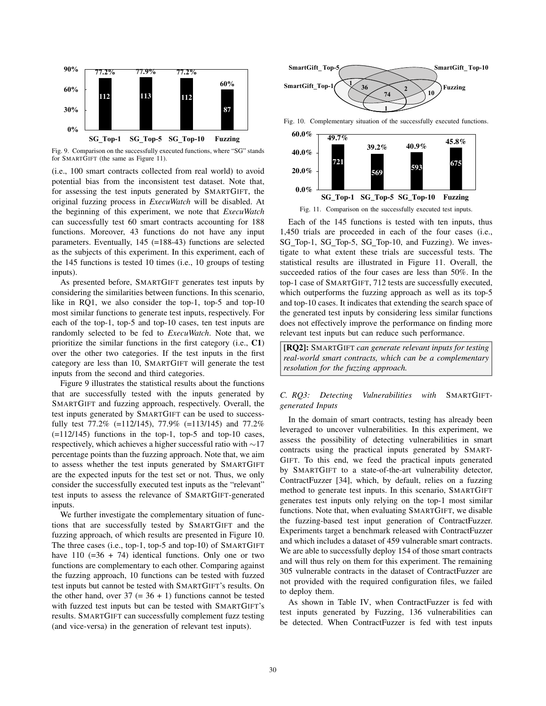

Fig. 9. Comparison on the successfully executed functions, where "SG" stands for SMARTGIFT (the same as Figure 11).

(i.e., 100 smart contracts collected from real world) to avoid potential bias from the inconsistent test dataset. Note that, for assessing the test inputs generated by SMARTGIFT, the original fuzzing process in *ExecuWatch* will be disabled. At the beginning of this experiment, we note that *ExecuWatch* can successfully test 60 smart contracts accounting for 188 functions. Moreover, 43 functions do not have any input parameters. Eventually, 145 (=188-43) functions are selected as the subjects of this experiment. In this experiment, each of the 145 functions is tested 10 times (i.e., 10 groups of testing inputs).

As presented before, SMARTGIFT generates test inputs by considering the similarities between functions. In this scenario, like in RQ1, we also consider the top-1, top-5 and top-10 most similar functions to generate test inputs, respectively. For each of the top-1, top-5 and top-10 cases, ten test inputs are randomly selected to be fed to *ExecuWatch*. Note that, we prioritize the similar functions in the first category (i.e., C1) over the other two categories. If the test inputs in the first category are less than 10, SMARTGIFT will generate the test inputs from the second and third categories.

Figure 9 illustrates the statistical results about the functions that are successfully tested with the inputs generated by SMARTGIFT and fuzzing approach, respectively. Overall, the test inputs generated by SMARTGIFT can be used to successfully test 77.2% (=112/145), 77.9% (=113/145) and 77.2%  $(=112/145)$  functions in the top-1, top-5 and top-10 cases, respectively, which achieves a higher successful ratio with ∼17 percentage points than the fuzzing approach. Note that, we aim to assess whether the test inputs generated by SMARTGIFT are the expected inputs for the test set or not. Thus, we only consider the successfully executed test inputs as the "relevant" test inputs to assess the relevance of SMARTGIFT-generated inputs.

We further investigate the complementary situation of functions that are successfully tested by SMARTGIFT and the fuzzing approach, of which results are presented in Figure 10. The three cases (i.e., top-1, top-5 and top-10) of SMARTGIFT have  $110$  (=36 + 74) identical functions. Only one or two functions are complementary to each other. Comparing against the fuzzing approach, 10 functions can be tested with fuzzed test inputs but cannot be tested with SMARTGIFT's results. On the other hand, over  $37 (= 36 + 1)$  functions cannot be tested with fuzzed test inputs but can be tested with SMARTGIFT's results. SMARTGIFT can successfully complement fuzz testing (and vice-versa) in the generation of relevant test inputs).



Fig. 10. Complementary situation of the successfully executed functions.



Fig. 11. Comparison on the successfully executed test inputs.

Each of the 145 functions is tested with ten inputs, thus 1,450 trials are proceeded in each of the four cases (i.e., SG Top-1, SG Top-5, SG Top-10, and Fuzzing). We investigate to what extent these trials are successful tests. The statistical results are illustrated in Figure 11. Overall, the succeeded ratios of the four cases are less than 50%. In the top-1 case of SMARTGIFT, 712 tests are successfully executed, which outperforms the fuzzing approach as well as its top-5 and top-10 cases. It indicates that extending the search space of the generated test inputs by considering less similar functions does not effectively improve the performance on finding more relevant test inputs but can reduce such performance.

[RQ2]: SMARTGIFT *can generate relevant inputs for testing real-world smart contracts, which can be a complementary resolution for the fuzzing approach.*

## *C. RQ3: Detecting Vulnerabilities with* SMARTGIFT*generated Inputs*

In the domain of smart contracts, testing has already been leveraged to uncover vulnerabilities. In this experiment, we assess the possibility of detecting vulnerabilities in smart contracts using the practical inputs generated by SMART-GIFT. To this end, we feed the practical inputs generated by SMARTGIFT to a state-of-the-art vulnerability detector, ContractFuzzer [34], which, by default, relies on a fuzzing method to generate test inputs. In this scenario, SMARTGIFT generates test inputs only relying on the top-1 most similar functions. Note that, when evaluating SMARTGIFT, we disable the fuzzing-based test input generation of ContractFuzzer. Experiments target a benchmark released with ContractFuzzer and which includes a dataset of 459 vulnerable smart contracts. We are able to successfully deploy 154 of those smart contracts and will thus rely on them for this experiment. The remaining 305 vulnerable contracts in the dataset of ContractFuzzer are not provided with the required configuration files, we failed to deploy them.

As shown in Table IV, when ContractFuzzer is fed with test inputs generated by Fuzzing, 136 vulnerabilities can be detected. When ContractFuzzer is fed with test inputs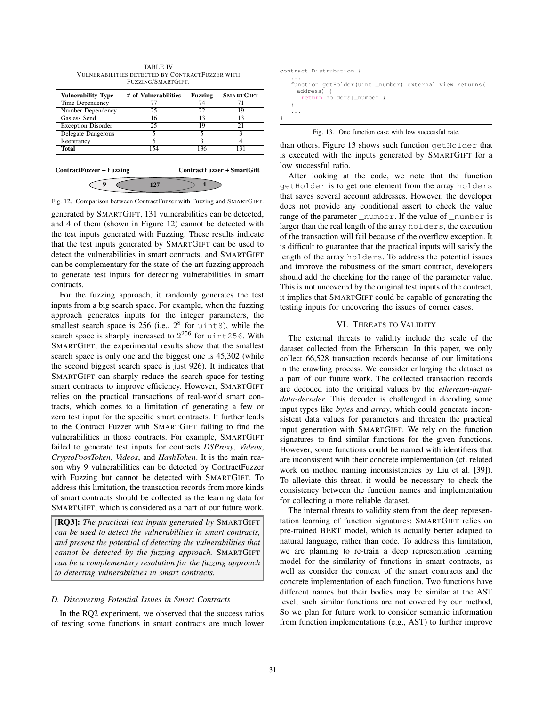| <b>Vulnerability Type</b>                              | # of Vulnerabilities | <b>Fuzzing</b> | <b>SMARTGIFT</b>       |  |  |
|--------------------------------------------------------|----------------------|----------------|------------------------|--|--|
| Time Dependency                                        | 77                   | 74             |                        |  |  |
| Number Dependency                                      | 25                   | 22             | 19                     |  |  |
| Gasless Send                                           | 16                   | 13             | 13                     |  |  |
| <b>Exception Disorder</b>                              | 25                   | 19             | 21                     |  |  |
| Delegate Dangerous                                     | 5                    | 5              | $\mathbf{\mathcal{L}}$ |  |  |
| Reentrancy                                             | 6                    | 3              |                        |  |  |
| Total                                                  | 154                  | 136            | 131                    |  |  |
| ContractFuzzer + SmartGift<br>ContractFuzzer + Fuzzing |                      |                |                        |  |  |
|                                                        |                      |                |                        |  |  |

TABLE IV VULNERABILITIES DETECTED BY CONTRACTFUZZER WITH FUZZING/SMARTGIFT.

Fig. 12. Comparison between ContractFuzzer with Fuzzing and SMARTGIFT.

generated by SMARTGIFT, 131 vulnerabilities can be detected, and 4 of them (shown in Figure 12) cannot be detected with the test inputs generated with Fuzzing. These results indicate that the test inputs generated by SMARTGIFT can be used to detect the vulnerabilities in smart contracts, and SMARTGIFT can be complementary for the state-of-the-art fuzzing approach to generate test inputs for detecting vulnerabilities in smart contracts.

For the fuzzing approach, it randomly generates the test inputs from a big search space. For example, when the fuzzing approach generates inputs for the integer parameters, the smallest search space is  $256$  (i.e.,  $2^8$  for uint8), while the search space is sharply increased to  $2^{256}$  for uint256. With SMARTGIFT, the experimental results show that the smallest search space is only one and the biggest one is 45,302 (while the second biggest search space is just 926). It indicates that SMARTGIFT can sharply reduce the search space for testing smart contracts to improve efficiency. However, SMARTGIFT relies on the practical transactions of real-world smart contracts, which comes to a limitation of generating a few or zero test input for the specific smart contracts. It further leads to the Contract Fuzzer with SMARTGIFT failing to find the vulnerabilities in those contracts. For example, SMARTGIFT failed to generate test inputs for contracts *DSProxy*, *Videos*, *CryptoPoosToken*, *Videos*, and *HashToken*. It is the main reason why 9 vulnerabilities can be detected by ContractFuzzer with Fuzzing but cannot be detected with SMARTGIFT. To address this limitation, the transaction records from more kinds of smart contracts should be collected as the learning data for SMARTGIFT, which is considered as a part of our future work.

[RQ3]: *The practical test inputs generated by* SMARTGIFT *can be used to detect the vulnerabilities in smart contracts, and present the potential of detecting the vulnerabilities that cannot be detected by the fuzzing approach.* SMARTGIFT *can be a complementary resolution for the fuzzing approach to detecting vulnerabilities in smart contracts.*

#### *D. Discovering Potential Issues in Smart Contracts*

In the RQ2 experiment, we observed that the success ratios of testing some functions in smart contracts are much lower

| contract Distrubution {                                                                                |  |
|--------------------------------------------------------------------------------------------------------|--|
| .<br>function getHolder(uint number) external view returns(<br>address) {<br>return holders [ number]; |  |
|                                                                                                        |  |

Fig. 13. One function case with low successful rate.

than others. Figure 13 shows such function getHolder that is executed with the inputs generated by SMARTGIFT for a low successful ratio.

After looking at the code, we note that the function getHolder is to get one element from the array holders that saves several account addresses. However, the developer does not provide any conditional assert to check the value range of the parameter \_number. If the value of \_number is larger than the real length of the array holders, the execution of the transaction will fail because of the overflow exception. It is difficult to guarantee that the practical inputs will satisfy the length of the array holders. To address the potential issues and improve the robustness of the smart contract, developers should add the checking for the range of the parameter value. This is not uncovered by the original test inputs of the contract, it implies that SMARTGIFT could be capable of generating the testing inputs for uncovering the issues of corner cases.

#### VI. THREATS TO VALIDITY

The external threats to validity include the scale of the dataset collected from the Etherscan. In this paper, we only collect 66,528 transaction records because of our limitations in the crawling process. We consider enlarging the dataset as a part of our future work. The collected transaction records are decoded into the original values by the *ethereum-inputdata-decoder*. This decoder is challenged in decoding some input types like *bytes* and *array*, which could generate inconsistent data values for parameters and threaten the practical input generation with SMARTGIFT. We rely on the function signatures to find similar functions for the given functions. However, some functions could be named with identifiers that are inconsistent with their concrete implementation (cf. related work on method naming inconsistencies by Liu et al. [39]). To alleviate this threat, it would be necessary to check the consistency between the function names and implementation for collecting a more reliable dataset.

The internal threats to validity stem from the deep representation learning of function signatures: SMARTGIFT relies on pre-trained BERT model, which is actually better adapted to natural language, rather than code. To address this limitation, we are planning to re-train a deep representation learning model for the similarity of functions in smart contracts, as well as consider the context of the smart contracts and the concrete implementation of each function. Two functions have different names but their bodies may be similar at the AST level, such similar functions are not covered by our method, So we plan for future work to consider semantic information from function implementations (e.g., AST) to further improve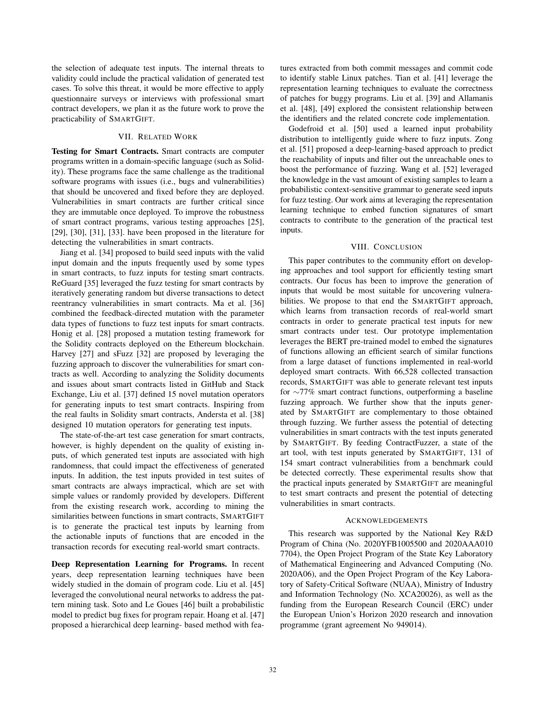the selection of adequate test inputs. The internal threats to validity could include the practical validation of generated test cases. To solve this threat, it would be more effective to apply questionnaire surveys or interviews with professional smart contract developers, we plan it as the future work to prove the practicability of SMARTGIFT.

## VII. RELATED WORK

Testing for Smart Contracts. Smart contracts are computer programs written in a domain-specific language (such as Solidity). These programs face the same challenge as the traditional software programs with issues (i.e., bugs and vulnerabilities) that should be uncovered and fixed before they are deployed. Vulnerabilities in smart contracts are further critical since they are immutable once deployed. To improve the robustness of smart contract programs, various testing approaches [25], [29], [30], [31], [33]. have been proposed in the literature for detecting the vulnerabilities in smart contracts.

Jiang et al. [34] proposed to build seed inputs with the valid input domain and the inputs frequently used by some types in smart contracts, to fuzz inputs for testing smart contracts. ReGuard [35] leveraged the fuzz testing for smart contracts by iteratively generating random but diverse transactions to detect reentrancy vulnerabilities in smart contracts. Ma et al. [36] combined the feedback-directed mutation with the parameter data types of functions to fuzz test inputs for smart contracts. Honig et al. [28] proposed a mutation testing framework for the Solidity contracts deployed on the Ethereum blockchain. Harvey [27] and sFuzz [32] are proposed by leveraging the fuzzing approach to discover the vulnerabilities for smart contracts as well. According to analyzing the Solidity documents and issues about smart contracts listed in GitHub and Stack Exchange, Liu et al. [37] defined 15 novel mutation operators for generating inputs to test smart contracts. Inspiring from the real faults in Solidity smart contracts, Andersta et al. [38] designed 10 mutation operators for generating test inputs.

The state-of-the-art test case generation for smart contracts, however, is highly dependent on the quality of existing inputs, of which generated test inputs are associated with high randomness, that could impact the effectiveness of generated inputs. In addition, the test inputs provided in test suites of smart contracts are always impractical, which are set with simple values or randomly provided by developers. Different from the existing research work, according to mining the similarities between functions in smart contracts, SMARTGIFT is to generate the practical test inputs by learning from the actionable inputs of functions that are encoded in the transaction records for executing real-world smart contracts.

Deep Representation Learning for Programs. In recent years, deep representation learning techniques have been widely studied in the domain of program code. Liu et al. [45] leveraged the convolutional neural networks to address the pattern mining task. Soto and Le Goues [46] built a probabilistic model to predict bug fixes for program repair. Hoang et al. [47] proposed a hierarchical deep learning- based method with features extracted from both commit messages and commit code to identify stable Linux patches. Tian et al. [41] leverage the representation learning techniques to evaluate the correctness of patches for buggy programs. Liu et al. [39] and Allamanis et al. [48], [49] explored the consistent relationship between the identifiers and the related concrete code implementation.

Godefroid et al. [50] used a learned input probability distribution to intelligently guide where to fuzz inputs. Zong et al. [51] proposed a deep-learning-based approach to predict the reachability of inputs and filter out the unreachable ones to boost the performance of fuzzing. Wang et al. [52] leveraged the knowledge in the vast amount of existing samples to learn a probabilistic context-sensitive grammar to generate seed inputs for fuzz testing. Our work aims at leveraging the representation learning technique to embed function signatures of smart contracts to contribute to the generation of the practical test inputs.

#### VIII. CONCLUSION

This paper contributes to the community effort on developing approaches and tool support for efficiently testing smart contracts. Our focus has been to improve the generation of inputs that would be most suitable for uncovering vulnerabilities. We propose to that end the SMARTGIFT approach, which learns from transaction records of real-world smart contracts in order to generate practical test inputs for new smart contracts under test. Our prototype implementation leverages the BERT pre-trained model to embed the signatures of functions allowing an efficient search of similar functions from a large dataset of functions implemented in real-world deployed smart contracts. With 66,528 collected transaction records, SMARTGIFT was able to generate relevant test inputs for ∼77% smart contract functions, outperforming a baseline fuzzing approach. We further show that the inputs generated by SMARTGIFT are complementary to those obtained through fuzzing. We further assess the potential of detecting vulnerabilities in smart contracts with the test inputs generated by SMARTGIFT. By feeding ContractFuzzer, a state of the art tool, with test inputs generated by SMARTGIFT, 131 of 154 smart contract vulnerabilities from a benchmark could be detected correctly. These experimental results show that the practical inputs generated by SMARTGIFT are meaningful to test smart contracts and present the potential of detecting vulnerabilities in smart contracts.

#### ACKNOWLEDGEMENTS

This research was supported by the National Key R&D Program of China (No. 2020YFB1005500 and 2020AAA010 7704), the Open Project Program of the State Key Laboratory of Mathematical Engineering and Advanced Computing (No. 2020A06), and the Open Project Program of the Key Laboratory of Safety-Critical Software (NUAA), Ministry of Industry and Information Technology (No. XCA20026), as well as the funding from the European Research Council (ERC) under the European Union's Horizon 2020 research and innovation programme (grant agreement No 949014).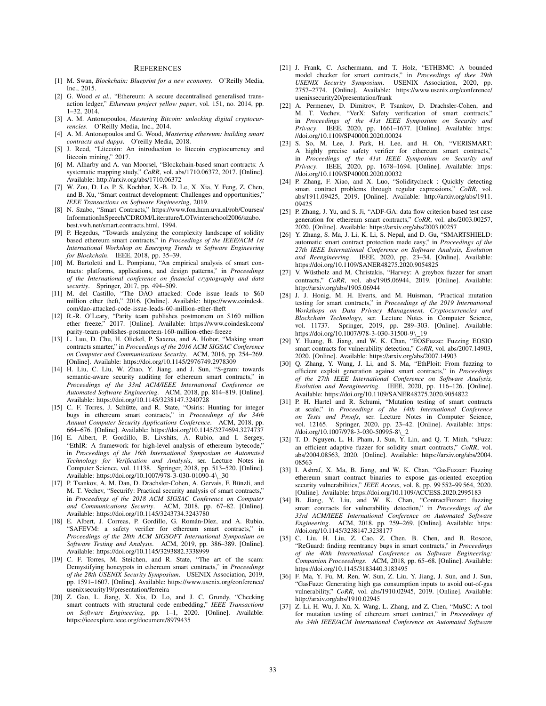#### **REFERENCES**

- [1] M. Swan, *Blockchain: Blueprint for a new economy*. O'Reilly Media, Inc., 2015.
- [2] G. Wood *et al.*, "Ethereum: A secure decentralised generalised transaction ledger," *Ethereum project yellow paper*, vol. 151, no. 2014, pp. 1–32, 2014.
- [3] A. M. Antonopoulos, *Mastering Bitcoin: unlocking digital cryptocurrencies*. O'Reilly Media, Inc., 2014.
- [4] A. M. Antonopoulos and G. Wood, *Mastering ethereum: building smart contracts and dapps*. O'reilly Media, 2018.
- [5] J. Reed, "Litecoin: An introduction to litecoin cryptocurrency and litecoin mining," 2017.
- [6] M. Alharby and A. van Moorsel, "Blockchain-based smart contracts: A systematic mapping study," *CoRR*, vol. abs/1710.06372, 2017. [Online]. Available: http://arxiv.org/abs/1710.06372
- [7] W. Zou, D. Lo, P. S. Kochhar, X.-B. D. Le, X. Xia, Y. Feng, Z. Chen, and B. Xu, "Smart contract development: Challenges and opportunities," *IEEE Transactions on Software Engineering*, 2019.
- [8] N. Szabo, "Smart Contracts," https://www.fon.hum.uva.nl/rob/Courses/ InformationInSpeech/CDROM/Literature/LOTwinterschool2006/szabo. best.vwh.net/smart.contracts.html, 1994.
- [9] P. Hegedus, "Towards analyzing the complexity landscape of solidity based ethereum smart contracts," in *Proceedings of the IEEE/ACM 1st International Workshop on Emerging Trends in Software Engineering for Blockchain*. IEEE, 2018, pp. 35–39.
- [10] M. Bartoletti and L. Pompianu, "An empirical analysis of smart contracts: platforms, applications, and design patterns," in *Proceedings of the International conference on financial cryptography and data security*. Springer, 2017, pp. 494–509.
- [11] M. del Castillo, "The DAO attacked: Code issue leads to \$60 million ether theft," 2016. [Online]. Available: https://www.coindesk. com/dao-attacked-code-issue-leads-60-million-ether-theft
- [12] R.-R. O'Leary, "Parity team publishes postmortem on \$160 million ether freeze," 2017. [Online]. Available: https://www.coindesk.com/ parity-team-publishes-postmortem-160-million-ether-freeze
- [13] L. Luu, D. Chu, H. Olickel, P. Saxena, and A. Hobor, "Making smart contracts smarter," in *Proceedings of the 2016 ACM SIGSAC Conference on Computer and Communications Security*. ACM, 2016, pp. 254–269. [Online]. Available: https://doi.org/10.1145/2976749.2978309
- [14] H. Liu, C. Liu, W. Zhao, Y. Jiang, and J. Sun, "S-gram: towards semantic-aware security auditing for ethereum smart contracts," in *Proceedings of the 33rd ACM/IEEE International Conference on Automated Software Engineering*. ACM, 2018, pp. 814–819. [Online]. Available: https://doi.org/10.1145/3238147.3240728
- [15] C. F. Torres, J. Schütte, and R. State, "Osiris: Hunting for integer bugs in ethereum smart contracts," in *Proceedings of the 34th Annual Computer Security Applications Conference*. ACM, 2018, pp. 664–676. [Online]. Available: https://doi.org/10.1145/3274694.3274737
- [16] E. Albert, P. Gordillo, B. Livshits, A. Rubio, and I. Sergey, "EthIR: A framework for high-level analysis of ethereum bytecode," in *Proceedings of the 16th International Symposium on Automated Technology for Verification and Analysis*, ser. Lecture Notes in Computer Science, vol. 11138. Springer, 2018, pp. 513–520. [Online]. Available: https://doi.org/10.1007/978-3-030-01090-4\\_30
- [17] P. Tsankov, A. M. Dan, D. Drachsler-Cohen, A. Gervais, F. Bünzli, and M. T. Vechev, "Securify: Practical security analysis of smart contracts," in *Proceedings of the 2018 ACM SIGSAC Conference on Computer and Communications Security*. ACM, 2018, pp. 67–82. [Online]. Available: https://doi.org/10.1145/3243734.3243780
- [18] E. Albert, J. Correas, P. Gordillo, G. Román-Díez, and A. Rubio, "SAFEVM: a safety verifier for ethereum smart contracts," in *Proceedings of the 28th ACM SIGSOFT International Symposium on Software Testing and Analysis*. ACM, 2019, pp. 386–389. [Online]. Available: https://doi.org/10.1145/3293882.3338999
- [19] C. F. Torres, M. Steichen, and R. State, "The art of the scam: Demystifying honeypots in ethereum smart contracts," in *Proceedings of the 28th USENIX Security Symposium*. USENIX Association, 2019, pp. 1591–1607. [Online]. Available: https://www.usenix.org/conference/ usenixsecurity19/presentation/ferreira
- [20] Z. Gao, L. Jiang, X. Xia, D. Lo, and J. C. Grundy, "Checking smart contracts with structural code embedding," *IEEE Transactions on Software Engineering*, pp. 1–1, 2020. [Online]. Available: https://ieeexplore.ieee.org/document/8979435
- [21] J. Frank, C. Aschermann, and T. Holz, "ETHBMC: A bounded model checker for smart contracts," in *Proceedings of thee 29th USENIX Security Symposium*. USENIX Association, 2020, pp. 2757–2774. [Online]. Available: https://www.usenix.org/conference/ usenixsecurity20/presentation/frank
- [22] A. Permenev, D. Dimitrov, P. Tsankov, D. Drachsler-Cohen, and M. T. Vechev, "VerX: Safety verification of smart contracts," in *Proceedings of the 41st IEEE Symposium on Security and Privacy*. IEEE, 2020, pp. 1661–1677. [Online]. Available: https: //doi.org/10.1109/SP40000.2020.00024
- [23] S. So, M. Lee, J. Park, H. Lee, and H. Oh, "VERISMART: A highly precise safety verifier for ethereum smart contracts," in *Proceedings of the 41st IEEE Symposium on Security and Privacy*. IEEE, 2020, pp. 1678–1694. [Online]. Available: https: //doi.org/10.1109/SP40000.2020.00032
- [24] P. Zhang, F. Xiao, and X. Luo, "Soliditycheck : Quickly detecting smart contract problems through regular expressions," *CoRR*, vol. abs/1911.09425, 2019. [Online]. Available: http://arxiv.org/abs/1911. 09425
- [25] P. Zhang, J. Yu, and S. Ji, "ADF-GA: data flow criterion based test case generation for ethereum smart contracts," *CoRR*, vol. abs/2003.00257, 2020. [Online]. Available: https://arxiv.org/abs/2003.00257
- [26] Y. Zhang, S. Ma, J. Li, K. Li, S. Nepal, and D. Gu, "SMARTSHIELD: automatic smart contract protection made easy," in *Proceedings of the 27th IEEE International Conference on Software Analysis, Evolution and Reengineering*. IEEE, 2020, pp. 23–34. [Online]. Available: https://doi.org/10.1109/SANER48275.2020.9054825
- [27] V. Wüstholz and M. Christakis, "Harvey: A greybox fuzzer for smart contracts," *CoRR*, vol. abs/1905.06944, 2019. [Online]. Available: http://arxiv.org/abs/1905.06944
- [28] J. J. Honig, M. H. Everts, and M. Huisman, "Practical mutation testing for smart contracts," in *Proceedings of the 2019 International Workshops on Data Privacy Management, Cryptocurrencies and Blockchain Technology*, ser. Lecture Notes in Computer Science, vol. 11737. Springer, 2019, pp. 289–303. [Online]. Available: https://doi.org/10.1007/978-3-030-31500-9\\_19
- [29] Y. Huang, B. Jiang, and W. K. Chan, "EOSFuzze: Fuzzing EOSIO smart contracts for vulnerability detection," *CoRR*, vol. abs/2007.14903, 2020. [Online]. Available: https://arxiv.org/abs/2007.14903
- [30] Q. Zhang, Y. Wang, J. Li, and S. Ma, "EthPloit: From fuzzing to efficient exploit generation against smart contracts," in *Proceedings of the 27th IEEE International Conference on Software Analysis, Evolution and Reengineering*. IEEE, 2020, pp. 116–126. [Online]. Available: https://doi.org/10.1109/SANER48275.2020.9054822
- [31] P. H. Hartel and R. Schumi, "Mutation testing of smart contracts at scale," in *Proceedings of the 14th International Conference on Tests and Proofs*, ser. Lecture Notes in Computer Science, vol. 12165. Springer, 2020, pp. 23–42. [Online]. Available: https: //doi.org/10.1007/978-3-030-50995-8\ 2
- [32] T. D. Nguyen, L. H. Pham, J. Sun, Y. Lin, and Q. T. Minh, "sFuzz: an efficient adaptive fuzzer for solidity smart contracts," *CoRR*, vol. abs/2004.08563, 2020. [Online]. Available: https://arxiv.org/abs/2004. 08563
- [33] I. Ashraf, X. Ma, B. Jiang, and W. K. Chan, "GasFuzzer: Fuzzing ethereum smart contract binaries to expose gas-oriented exception security vulnerabilities," *IEEE Access*, vol. 8, pp. 99 552–99 564, 2020. [Online]. Available: https://doi.org/10.1109/ACCESS.2020.2995183
- [34] B. Jiang, Y. Liu, and W. K. Chan, "ContractFuzzer: fuzzing smart contracts for vulnerability detection," in *Proceedings of the 33rd ACM/IEEE International Conference on Automated Software Engineering*. ACM, 2018, pp. 259–269. [Online]. Available: https: //doi.org/10.1145/3238147.3238177
- [35] C. Liu, H. Liu, Z. Cao, Z. Chen, B. Chen, and B. Roscoe, "ReGuard: finding reentrancy bugs in smart contracts," in *Proceedings of the 40th International Conference on Software Engineering: Companion Proceeedings*. ACM, 2018, pp. 65–68. [Online]. Available: https://doi.org/10.1145/3183440.3183495
- [36] F. Ma, Y. Fu, M. Ren, W. Sun, Z. Liu, Y. Jiang, J. Sun, and J. Sun, "GasFuzz: Generating high gas consumption inputs to avoid out-of-gas vulnerability," *CoRR*, vol. abs/1910.02945, 2019. [Online]. Available: http://arxiv.org/abs/1910.02945
- [37] Z. Li, H. Wu, J. Xu, X. Wang, L. Zhang, and Z. Chen, "MuSC: A tool for mutation testing of ethereum smart contract," in *Proceedings of the 34th IEEE/ACM International Conference on Automated Software*